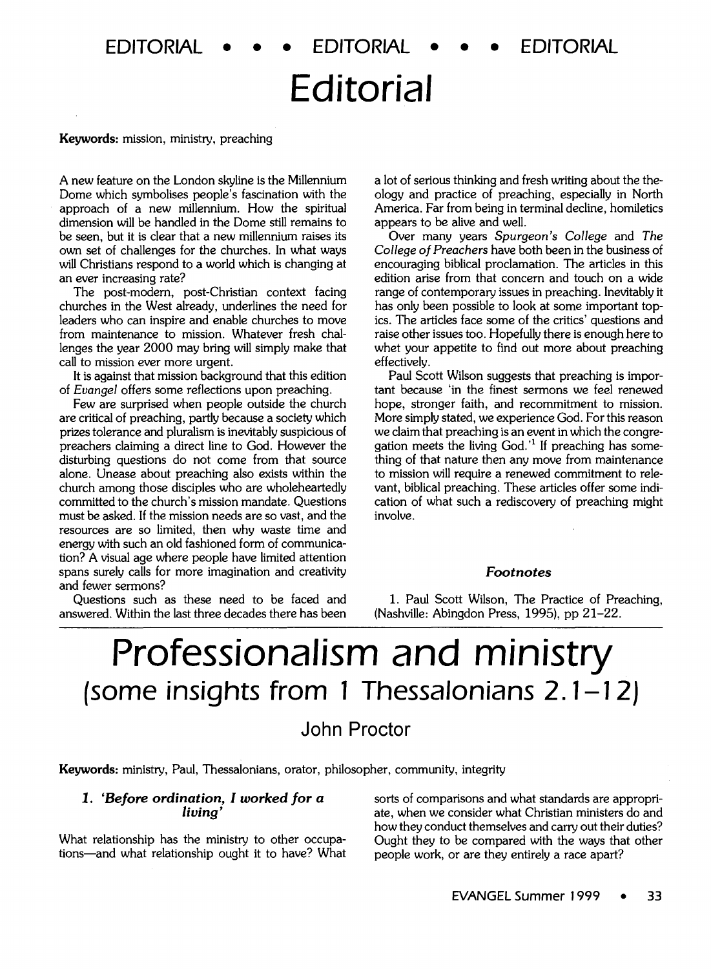## **Editorial**

#### Keywords: mission, ministry, preaching

A new feature on the London skyline is the Millennium Dome which symbolises people's fascination with the approach of a new millennium. How the spiritual dimension will be handled in the Dome still remains to be seen, but it is clear that a new millennium raises its own set of challenges for the churches. In what ways will Christians respond to a world which is changing at an ever increasing rate?

The post-modem, post-Christian context facing churches in the West already, underlines the need for leaders who can inspire and enable churches to move from maintenance to mission. Whatever fresh challenges the year 2000 may bring will simply make that call to mission ever more urgent.

It is against that mission background that this edition of *Evangel* offers some reflections upon preaching.

Few are surprised when people outside the church are critical of preaching, partly because a society which prizes tolerance and pluralism is inevitably suspicious of preachers claiming a direct line to God. However the disturbing questions do not come from that source alone. Unease about preaching also exists within the church among those disciples who are wholeheartedly committed to the church's mission mandate. Questions must be asked. If the mission needs are so vast, and the resources are so limited, then why waste time and energy with such an old fashioned form of communication? A visual age where people have limited attention spans surely calls for more imagination and creativity and fewer sermons?

Questions such as these need to be faced and answered. Within the last three decades there has been a lot of serious thinking and fresh writing about the theology and practice of preaching, especially in North America. Far from being in terminal decline, homiletics appears to be alive and well.

Over many years *Spurgeon's College* and *The College of Preachers* have both been in the business of encouraging biblical proclamation. The articles in this edition arise from that concern and touch on a wide range of contemporary issues in preaching. Inevitably it has only been possible to look at some important topics. The articles face some of the critics' questions and raise other issues too. Hopefully there is enough here to whet your appetite to find out more about preaching effectively.

Paul Scott Wilson suggests that preaching is important because 'in the finest sermons we feel renewed hope, stronger faith, and recommitment to mission. More simply stated, we experience God. For this reason we claim that preaching is an event in which the congregation meets the living  $God.'$  If preaching has something of that nature then any move from maintenance to mission will require a renewed commitment to relevant, biblical preaching. These articles offer some indication of what such a rediscovery of preaching might involve.

#### *Footnotes*

1. Paul Scott Wilson, The Practice of Preaching, (Nashville: Abingdon Press, 1995), pp 21-22.

# Professionalism and ministry *(some* **insights from 1 Thessalonians 2. 1-12)**

## John Proctor

Keywords: ministry, Paul, Thessalonians, orator, philosopher, community, integrity

## *1. 'Before* ordination, *I worked for a living'*

What relationship has the ministry to other occupations-and what relationship ought it to have? What sorts of comparisons and what standards are appropriate, when we consider what Christian ministers do and how they conduct themselves and carry out their duties? Ought they to be compared with the ways that other people work, or are they entirely a race apart?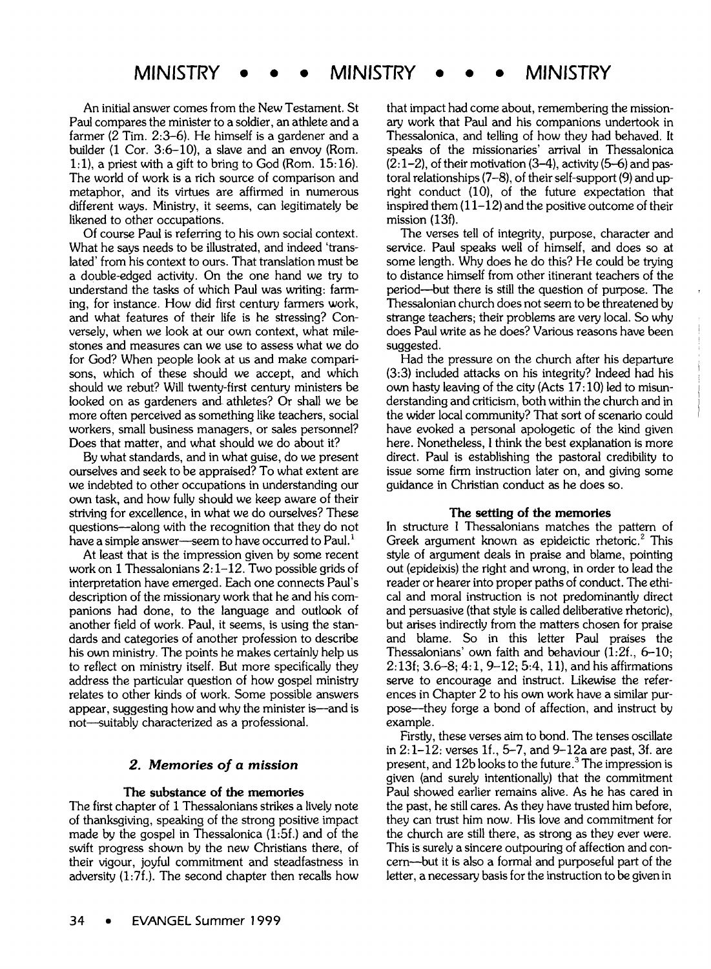## **MINISTRY** • • • **MINISTRY** • • • **MINISTRY**

An initial answer comes from the New Testament. St Paul compares the minister to a soldier, an athlete and a farmer (2 Tim.  $2:3-6$ ). He himself is a gardener and a builder (1 Cor. 3:6-10), a slave and an envoy (Rom. 1:1), a priest with a gift to bring to God (Rom.  $15:16$ ). The world of work is a rich source of comparison and metaphor, and its virtues are affirmed in numerous different ways. Ministry, it seems, can legitimately be likened to other occupations.

Of course Paul is referring to his own social context. What he says needs to be illustrated, and indeed 'translated' from his context to ours. That translation must be a double-edged activity. On the one hand we try to understand the tasks of which Paul was writing: farming, for instance. How did first century farmers work, and what features of their life is he stressing? Conversely, when we look at our own context, what milestones and measures can we use to assess what we do for God? When people look at us and make comparisons, which of these should we accept, and which should we rebut? Will twenty-first century ministers be looked on as gardeners and athletes? Or shall we be more often perceived as something like teachers, social workers, small business managers, or sales personnel? Does that matter, and what should we do about it?

By what standards, and in what guise, do we present ourselves and seek to be appraised? To what extent are we indebted to other occupations in understanding our own task, and how fully should we keep aware of their striving for excellence, in what we do ourselves? These questions—along with the recognition that they do not have a simple answer-seem to have occurred to Paul.<sup>1</sup>

At least that is the impression given by some recent work on 1 Thessalonians  $2:1-12$ . Two possible grids of interpretation have emerged. Each one connects Paul's description of the missionary work that he and his companions had done, to the language and outlook of another field of work. Paul, it seems, is using the standards and categories of another profession to describe his own ministry. The points he makes certainly help us to reflect on ministry itself. But more specifically they address the particular question of how gospel ministry relates to other kinds of work. Some possible answers appear, suggesting how and why the minister is—and is not—suitably characterized as a professional.

#### 2. Memories of a mission **The substance of the memories**

## The substance of the memories

The first chapter of 1 Thessalonians strikes a lively note of thanksgiving, speaking of the strong positive impact made by the gospel in Thessalonica  $(1:5f)$  and of the swift progress shown by the new Christians there, of their vigour, joyful commitment and steadfastness in adversity  $(1:7f.)$ . The second chapter then recalls how

that impact had come about, remembering the missionary work that Paul and his companions undertook in Thessalonica, and telling of how they had behaved. It speaks of the missionaries' arrival in Thessalonica  $(2:1-2)$ , of their motivation  $(3-4)$ , activity  $(5-6)$  and pastoral relationships  $(7-8)$ , of their self-support  $(9)$  and upright conduct  $( 10)$ , of the future expectation that inspired them  $(11-12)$  and the positive outcome of their  $mission$  (13f).

The verses tell of integrity, purpose, character and service. Paul speaks well of himself, and does so at some length. Why does he do this? He could be trying to distance himself from other itinerant teachers of the period—but there is still the question of purpose. The Thessalonian church does not seem to be threatened by strange teachers; their problems are very local. So why does Paul write as he does? Various reasons have been  $\mathbf{H}$  the pressure on the church after his departure on the church after his departure on the church after  $\mathbf{H}$ 

Had the pressure on the church after his departure  $(3:3)$  included attacks on his integrity? Indeed had his own hasty leaving of the city (Acts  $17:10$ ) led to misunderstanding and criticism, both within the church and in the wider local community? That sort of scenario could have evoked a personal apologetic of the kind given here. Nonetheless, I think the best explanation is more direct. Paul is establishing the pastoral credibility to issue some firm instruction later on, and giving some quidance in Christian conduct as he does so.

#### The setting of the memories

In structure I Thessalonians matches the pattern of Greek argument known as epideictic rhetoric.<sup>2</sup> This style of argument deals in praise and blame, pointing out (epideixis) the right and wrong, in order to lead the reader or hearer into proper paths of conduct. The ethical and moral instruction is not predominantly direct and persuasive (that style is called deliberative rhetoric), but arises indirectly from the matters chosen for praise and blame. So in this letter Paul praises the Thessalonians' own faith and behaviour  $(1:2f, 6-10;$  $2:13f$ ;  $3.6-8$ ;  $4:1$ ,  $9-12$ ;  $5:4$ ,  $11$ ), and his affirmations serve to encourage and instruct. Likewise the references in Chapter 2 to his own work have a similar purpose—they forge a bond of affection, and instruct by  $\mathsf{h}\mathsf{e}$ , these verses are verses and the tenses oscillates oscillates oscillates oscillates oscillates oscillates oscillates oscillates oscillates oscillates oscillates oscillates oscillates oscillates oscillates os

Firstly, these verses aim to bond. The tenses oscillate in  $2:1-12:$  verses 1f., 5-7, and 9-12a are past, 3f. are present, and  $12b$  looks to the future.<sup>3</sup> The impression is given (and surely intentionally) that the commitment Paul showed earlier remains alive. As he has cared in the past, he still cares. As they have trusted him before, they can trust him now. His love and commitment for the church are still there, as strong as they ever were. This is surely a sincere outpouring of affection and concern—but it is also a formal and purposeful part of the letter, a necessary basis for the instruction to be given in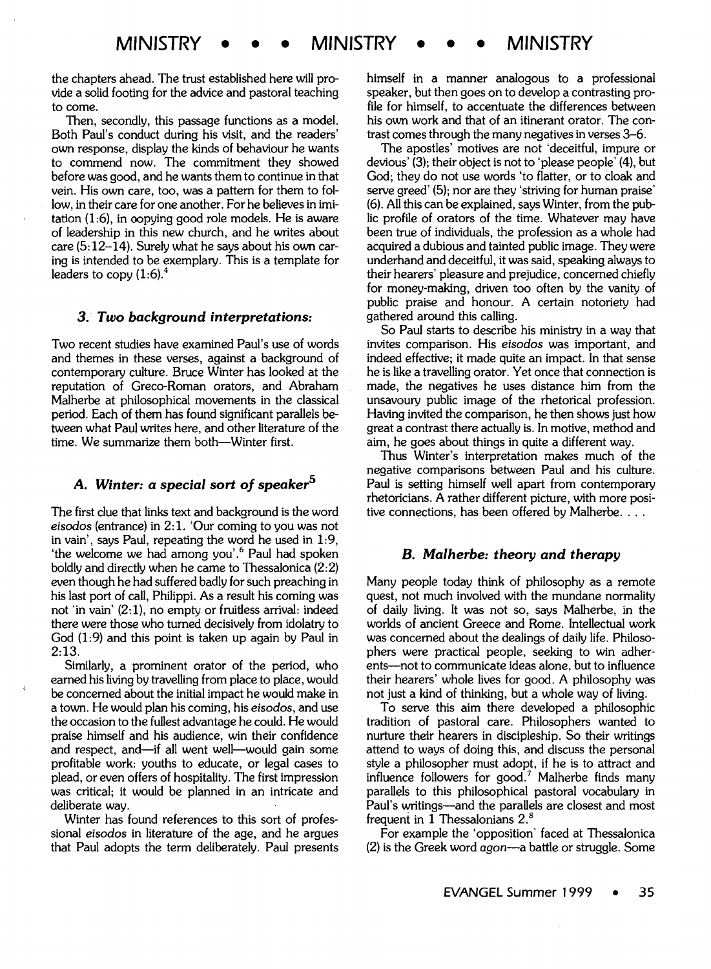the chapters ahead. The trust established here will provide a solid footing for the advice and pastoral teaching to come.

Then, secondly, this passage functions as a model. Both Paul's conduct during his visit, and the readers' own response, display the kinds of behaviour he wants to commend now. The commitment they showed before was good, and he wants them to continue in that vein. His own care, too, was a pattern for them to follow, in their care for one another. For he believes in imitation (1:6), in oopying good role models. He is aware of leadership in this new church, and he writes about care (5: 12-14). Surely what he says about his own caring is intended to be exemplary. This is a template for leaders to copy  $(1:6)^{4}$ 

#### *3.· Two background interpretations:*

Two recent studies have examined Paul's use of words and themes in these verses, against a background of contemporary culture. Bruce Winter has looked at the reputation of Greco-Roman orators, and Abraham Malherbe at philosophical movements in the classical period. Each of them has found significant parallels between what Paul writes here, and other literature of the time. We summarize them both-Winter first.

## *A. Winter: a special sort of speaker<sup>5</sup>*

The first clue that links text and background is the word *eisodos* (entrance) in 2: 1. 'Our coming to you was not in vain', says Paul, repeating the word he used in 1:9, 'the welcome we had among you'.<sup>6</sup> Paul had spoken boldly and directly when he came to Thessalonica (2:2) even though he had suffered badly for such preaching in his last port of call, Philippi. As a result his coming was not 'in vain' (2:1), no empty or fruitless arrival: indeed there were those who turned decisively from idolatry to God (1:9) and this point is taken up again by Paul in 2:13.

Similarly, a prominent orator of the period, who earned his living by travelling from place to place, would be concerned about the initial impact he would make in a town. He would plan his coming, his *eisodos,* and use the occasion to the fullest advantage he could. He would praise himself and his audience, win their confidence and respect, and-if all went well-would gain some profitable work: youths to educate, or legal cases to plead, or even offers of hospitality. The first impression was critical; it would be planned in an intricate and deliberate way.

Winter has found references to this sort of professional *eisodos* in literature of the age, and he argues that Paul adopts the term deliberately. Paul presents himself in a manner analogous to a professional speaker, but then goes on to develop a contrasting profile for himself, to accentuate the differences between his own work and that of an itinerant orator. The contrast comes through the many negatives in verses 3-6.

The apostles' motives are not 'deceitful, impure or devious' (3); their object is not to 'please people' (4), but God; they do not use words 'to flatter, or to cloak and serve greed' (5); nor are they 'striving for human praise' (6). All this can be explained, says Winter, from the public profile of orators of the time. Whatever may have been true of individuals, the profession as a whole had acquired a dubious and tainted public image. They were underhand and deceitful, it was said, speaking always to their hearers' pleasure and prejudice, concerned chiefly for money-making, driven too often by the vanity of public praise and honour. A certain notoriety had gathered around this calling.

So Paul starts to describe his ministry in a way that invites comparison. His *eisodos* was important, and indeed effective; it made quite an impact. In that sense he is like a travelling orator. Yet once that connection is made, the negatives he uses distance him from the unsavoury public image of the rhetorical profession. Having invited the comparison, he then shows just how great a contrast there actually is. In motive, method and aim, he goes about things in quite a different way.

Thus Winter's interpretation makes much of the negative comparisons between Paul and his culture. Paul is setting himself well apart from contemporary rhetoricians. A rather different picture, with more positive connections, has been offered by Malherbe....

#### *B. Malherbe: theory and therapy*

Many people today think of philosophy as a remote quest, not much involved with the mundane normality of daily living. It was not so, says Malherbe, in the worlds of ancient Greece and Rome. Intellectual work was concerned about the dealings of daily life. Philosophers were practical people, seeking to win adherents--not to communicate ideas alone, but to influence their hearers' whole lives for good. A philosophy was not just a kind of thinking, but a whole way of living.

To serve this aim there developed a philosophic tradition of pastoral care. Philosophers wanted to nurture their hearers in discipleship. So their writings attend to ways of doing this, and discuss the personal style a philosopher must adopt, if he is to attract and influence followers for good.<sup>7</sup> Malherbe finds many parallels to this philosophical pastoral vocabulary in Paul's writings-and the parallels are closest and most frequent in 1 Thessalonians 2.<sup>8</sup>

For example the 'opposition' faced at Thessalonica (2) is the Greek word *agon-a* battle or struggle. Some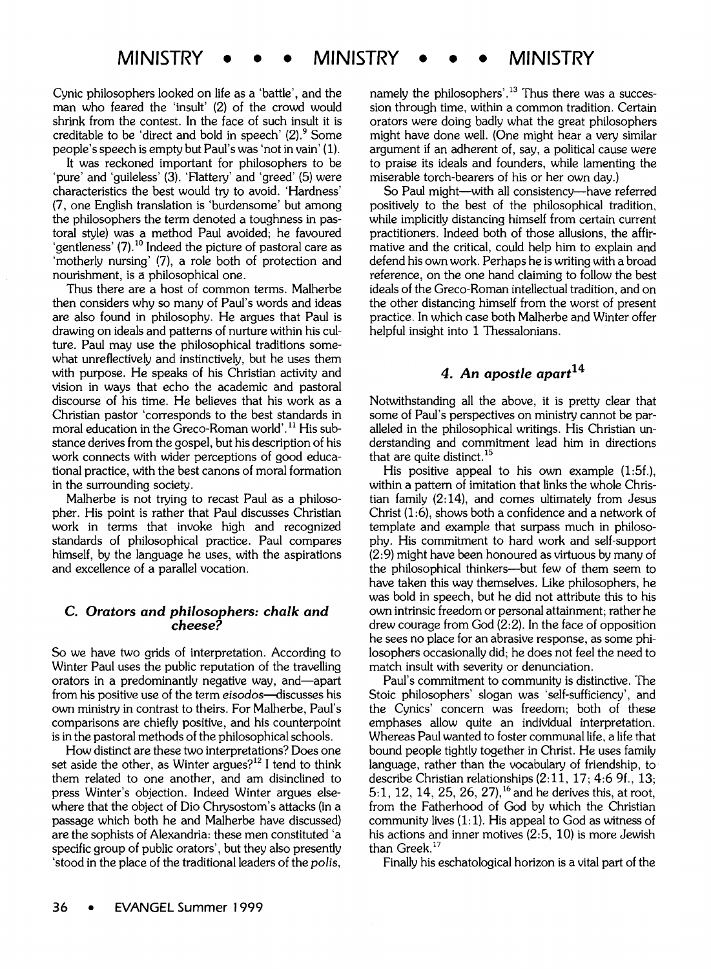Cynic philosophers looked on life as a 'battle', and the man who feared the 'insult' (2) of the crowd would shrink from the contest. In the face of such insult it is creditable to be 'direct and bold in speech'  $(2)$ .  $\degree$  Some people's speech is empty but Paul's was 'not in vain' (1).

It was reckoned important for philosophers to be 'pure' and 'guileless' (3). 'Flattery' and 'greed' (5) were characteristics the best would try to avoid. 'Hardness' (7, one English translation is 'burdensome' but among the philosophers the term denoted a toughness in pastoral style) was a method Paul avoided; he favoured 'gentleness' (7).<sup>10</sup> Indeed the picture of pastoral care as 'motherly nursing' (7), a role both of protection and nourishment, is a philosophical one.

Thus there are a host of common terms. Malherbe then considers why so many of Paul's words and ideas are also found in philosophy. He argues that Paul is drawing on ideals and patterns of nurture within his culture. Paul may use the philosophical traditions somewhat unreflectively and instinctively, but he uses them with purpose. He speaks of his Christian activity and vision in ways that echo the academic and pastoral discourse of his time. He believes that his work as a Christian pastor 'corresponds to the best standards in moral education in the Greco-Roman world'. 11 His substance derives from the gospel, but his description of his work connects with wider perceptions of good educational practice, with the best canons of moral formation in the surrounding society.

Malherbe is not trying to recast Paul as a philosopher. His point is rather that Paul discusses Christian work in terms that invoke high and recognized standards of philosophical practice. Paul compares himself, by the language he uses, with the aspirations and excellence of a parallel vocation.

## C. *Orators and philosophers: chalk and cheese?*

So we have two grids of interpretation. According to Winter Paul uses the public reputation of the travelling orators in a predominantly negative way, and-apart from his positive use of the term eisodos-discusses his own ministry in contrast to theirs. For Malherbe, Paul's comparisons are chiefly positive, and his counterpoint is in the pastoral methods of the philosophical schools.

How distinct are these two interpretations? Does one set aside the other, as Winter argues? $12$  I tend to think them related to one another, and am disinclined to press Winter's objection. Indeed Winter argues elsewhere that the object of Dio Chrysostom's attacks (in a passage which both he and Malherbe have discussed) are the sophists of Alexandria: these men constituted 'a specific group of public orators', but they also presently 'stood in the place of the traditional leaders of the *po/is,* 

namely the philosophers'.<sup>13</sup> Thus there was a succession through time, within a common tradition. Certain orators were doing badly what the great philosophers might have done well. (One might hear a very similar argument if an adherent of, say, a political cause were to praise its ideals and founders, while lamenting the miserable torch-bearers of his or her own day.)

So Paul might-with all consistency-have referred positively to the best of the philosophical tradition, while implicitly distancing himself from certain current practitioners. Indeed both of those allusions, the affirmative and the critical, could help him to explain and defend his own work. Perhaps he is writing with a broad reference, on the one hand claiming to follow the best ideals of the Greco-Roman intellectual tradition, and on the other distancing himself from the worst of present practice. In which case both Malherbe and Winter offer helpful insight into 1 Thessalonians.

## 4. An apostle apart<sup>14</sup>

Notwithstanding all the above, it is pretty clear that some of Paul's perspectives on ministry cannot be paralleled in the philosophical writings. His Christian understanding and commitment lead him in directions that are quite distinct.<sup>15</sup>

His positive appeal to his own example (1:5f.), within a pattern of imitation that links the whole Christian family (2: 14), and comes ultimately from Jesus Christ (1:6), shows both a confidence and a network of template and example that surpass much in philosophy. His commitment to hard work and self-support (2:9) might have been honoured as virtuous by many of the philosophical thinkers---but few of them seem to have taken this way themselves. Like philosophers, he was bold in speech, but he did not attribute this to his own intrinsic freedom or personal attainment; rather he drew courage from God (2:2). In the face of opposition he sees no place for an abrasive response, as some philosophers occasionally did; he does not feel the need to match insult with severity or denunciation.

Paul's commitment to community is distinctive. The Stoic philosophers' slogan was 'self-sufficiency', and the Cynics' concern was freedom; both of these emphases allow quite an individual interpretation. Whereas Paul wanted to foster communal life, a life that bound people tightly together in Christ. He uses family language, rather than the vocabulary of friendship, to describe Christian relationships (2:11, 17; 4:6 9f., 13; 5: 1, 12, 14, 25, 26, 27), 16 and he derives this, at root, from the Fatherhood of God by which the Christian community lives  $(1:1)$ . His appeal to God as witness of his actions and inner motives (2:5, 10) is more Jewish than Greek.<sup>17</sup>

Finally his eschatological horizon is a vital part of the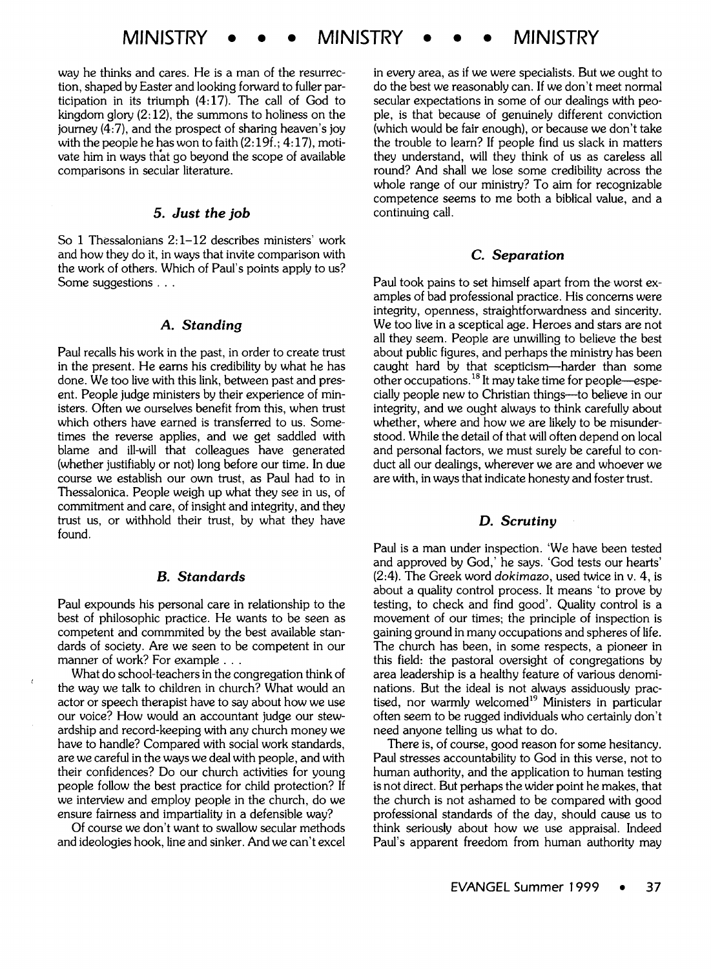way he thinks and cares. He is a man of the resurrection, shaped by Easter and looking forward to fuller participation in its triumph  $(4:17)$ . The call of God to kingdom glory  $(2.12)$ , the summons to holiness on the journey (4:7), and the prospect of sharing heaven's joy with the people he has won to faith  $(2:19f, 4:17)$ , motivate him in ways that go beyond the scope of available comparisons in secular literature.

## **5.** *Just the job*

So 1 Thessalonians 2: 1-12 describes ministers' work and how they do it, in ways that invite comparison with the work of others. Which of Paul's points apply to us? Some suggestions . . .

## *A. Standing*

Paul recalls his work in the past, in order to create trust in the present. He earns his credibility by what he has done. We too live with this link, between past and present. People judge ministers by their experience of ministers. Often we ourselves benefit from this, when trust which others have earned is transferred to us. Sometimes the reverse applies, and we get saddled with blame and ill-will that colleagues have generated (whether justifiably or not) long before our time. In due course we establish our own trust, as Paul had to in Thessalonica. People weigh up what they see in us, of commitment and care, of insight and integrity, and they trust us, or withhold their trust, by what they have found.

### *B. Standards*

Paul expounds his personal care in relationship to the best of philosophic practice. He wants to be seen as competent and commmited by the best available standards of society. Are we seen to be competent in our manner of work? For example . . .

What do school-teachers in the congregation think of the way we talk to children in church? What would an actor or speech therapist have to say about how we use our voice? How would an accountant judge our stewardship and record-keeping with any church money we have to handle? Compared with social work standards, are we careful in the ways we deal with people, and with their confidences? Do our church activities for young people follow the best practice for child protection? If we interview and employ people in the church, do we ensure fairness and impartiality in a defensible way?

Of course we don't want to swallow secular methods and ideologies hook, line and sinker. And we can't excel in every area, as if we were specialists. But we ought to do the best we reasonably can. If we don't meet normal secular expectations in some of our dealings with people, is that because of genuinely different conviction (which would be fair enough), or because we don't take the trouble to learn? If people find us slack in matters they understand, will they think of us as careless all round? And shall we lose some credibility across the whole range of our ministry? To aim for recognizable competence seems to me both a biblical value, and a continuing call.

## **C.** *Separation*

Paul took pains to set himself apart from the worst examples of bad professional practice. His concerns were integrity, openness, straightforwardness and sincerity. We too live in a sceptical age. Heroes and stars are not all they seem. People are unwilling to believe the best about public figures, and perhaps the ministry has been caught hard by that scepticism-harder than some other occupations. 18 It may take time for people-especially people new to Christian things-to believe in our integrity, and we ought always to think carefully about whether, where and how we are likely to be misunderstood. While the detail of that will often depend on local and personal factors, we must surely be careful to conduct all our dealings, wherever we are and whoever we are with, in ways that indicate honesty and foster trust.

## **D.** *Scrutiny*

Paul is a man under inspection. 'We have been tested and approved by God,' he says. 'God tests our hearts' (2:4). The Greek word *dokimazo,* used twice in v. 4, is about a quality control process. It means 'to prove by testing, to check and find good'. Quality control is a movement of our times; the principle of inspection is gaining ground in many occupations and spheres of life. The church has been, in some respects, a pioneer in this field: the pastoral oversight of congregations by area leadership is a healthy feature of various denominations. But the ideal is not always assiduously practised, nor warmly welcomed $19$  Ministers in particular often seem to be rugged individuals who certainly don't need anyone telling us what to do.

There is, of course, good reason for some hesitancy. Paul stresses accountability to God in this verse, not to human authority, and the application to human testing is not direct. But perhaps the wider point he makes, that the church is not ashamed to be compared with good professional standards of the day, should cause us to think seriously about how we use appraisal. Indeed Paul's apparent freedom from human authority may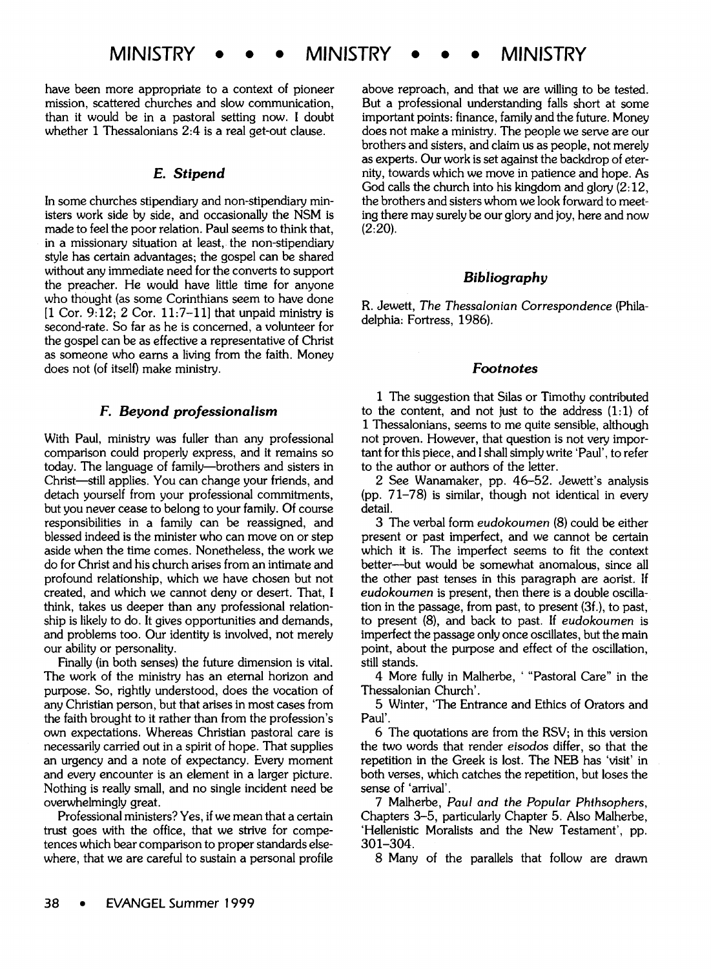have been more appropriate to a context of pioneer mission, scattered churches and slow communication, than it would be in a pastoral setting now. I doubt whether 1 Thessalonians 2:4 is a real get-out clause.

## *E. Stipend*

In some churches stipendiary and non-stipendiary ministers work side by side, and occasionally the NSM is made to feel the poor relation. Paul seems to think that, in a missionary situation at least, the non-stipendiary style has certain advantages; the gospel can be shared without any immediate need for the converts to support the preacher. He would have little time for anyone who thought (as some Corinthians seem to have done  $[1 \text{ Cor. } 9:12; 2 \text{ Cor. } 11:7-11]$  that unpaid ministry is second-rate. So far as he is concerned, a volunteer for the gospel can be as effective a representative of Christ as someone who earns a living from the faith. Money does not (of itself) make ministry.

## *F. Beyond professionalism*

With Paul, ministry was fuller than any professional comparison could properly express, and it remains so today. The language of family-brothers and sisters in Christ-still applies. You can change your friends, and detach yourself from your professional commitments, but you never cease to belong to your family. Of course responsibilities in a family can be reassigned, and blessed indeed is the minister who can move on or step aside when the time comes. Nonetheless, the work we do for Christ and his church arises from an intimate and profound relationship, which we have chosen but not created, and which we cannot deny or desert. That, I think, takes us deeper than any professional relationship is likely to do. It gives opportunities and demands, and problems too. Our identity is involved, not merely our ability or personality.

Finally (in both senses) the future dimension is vital. The work of the ministry has an eternal horizon and purpose. So, rightly understood, does the vocation of any Christian person, but that arises in most cases from the faith brought to it rather than from the profession's own expectations. Whereas Christian pastoral care is necessarily carried out in a spirit of hope. That supplies an urgency and a note of expectancy. Every moment and every encounter is an element in a larger picture. Nothing is really small, and no single incident need be overwhelmingly great.

Professional ministers? Yes, if we mean that a certain trust goes with the office, that we strive for competences which bear comparison to proper standards elsewhere, that we are careful to sustain a personal profile

above reproach, and that we are willing to be tested. But a professional understanding falls short at some important points: finance, family and the future. Money does not make a ministry. The people we serve are our brothers and sisters, and claim us as people, not merely as experts. Our work is set against the backdrop of eternity, towards which we move in patience and hope. As God calls the church into his kingdom and glory (2:12, the brothers and sisters whom we look forward to meeting there may surely be our glory and joy, here and now  $(2:20)$ .

## *Bibliography*

R. Jewett, *The Thessalonian* Correspondence (Philadelphia: Fortress, 1986).

## *Footnotes*

1 The suggestion that Silas or Timothy contributed to the content, and not just to the address  $(1:1)$  of 1 Thessalonians, seems to me quite sensible, although not proven. However, that question is not very important for this piece, and I shall simply write 'Paul', to refer to the author or authors of the letter.

2 See Wanamaker, pp. 46-52. Jewett's analysis (pp. 71-78) is similar, though not identical in every detail.

3 The verbal form *eudokoumen* (8) could be either present or past imperfect, and we cannot be certain which it is. The imperfect seems to fit the context better-but would be somewhat anomalous, since all the other past tenses in this paragraph are aorist. If *eudokoumen* is present, then there is a double oscillation in the passage, from past, to present (3f.), to past, to present (8), and back to past. If *eudokoumen* is imperfect the passage only once oscillates, but the main point, about the purpose and effect of the oscillation, still stands.

4 More fully in Malherbe, ' "Pastoral Care" in the Thessalonian Church'.

5 Winter, 'The Entrance and Ethics of Orators and Paul'.

6 The quotations are from the RSV; in this version the two words that render *eisodos* differ, so that the repetition in the Greek is lost. The NEB has 'visit' in both verses, which catches the repetition, but loses the sense of 'arrival'.

7 Malherbe, *Paul and the Popular Phihsophers,*  Chapters 3-5, particularly Chapter 5. Also Malherbe, 'Hellenistic Moralists and the New Testament', pp. 301-304.

8 Many of the parallels that follow are drawn